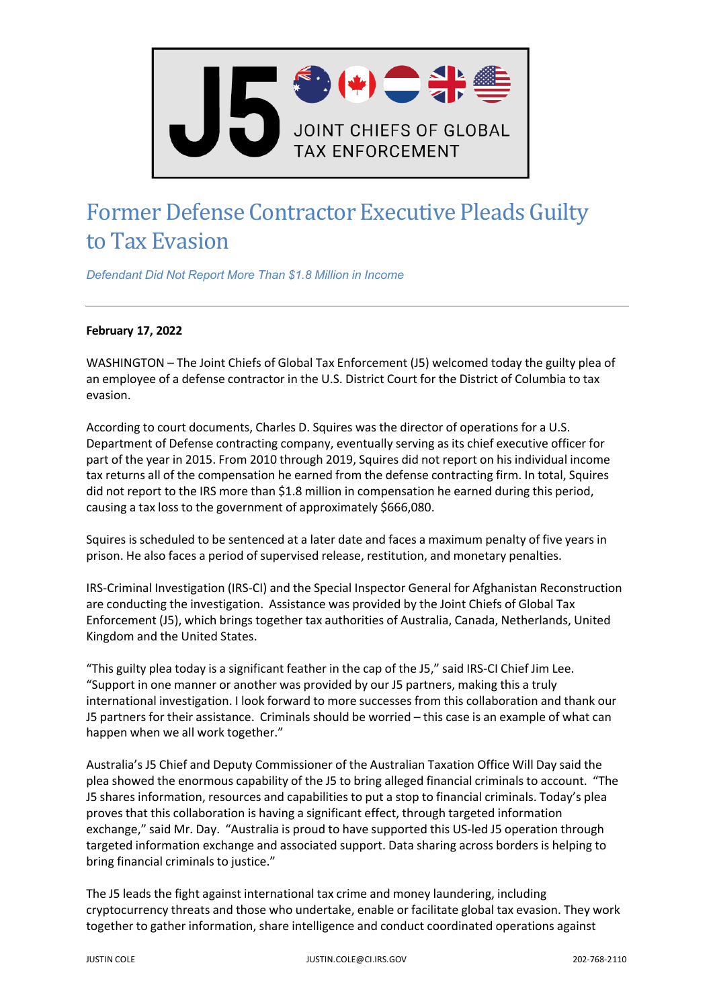

## Former Defense Contractor Executive Pleads Guilty to Tax Evasion

*Defendant Did Not Report More Than \$1.8 Million in Income*

## **February 17, 2022**

WASHINGTON – The Joint Chiefs of Global Tax Enforcement (J5) welcomed today the guilty plea of an employee of a defense contractor in the U.S. District Court for the District of Columbia to tax evasion.

According to court documents, Charles D. Squires was the director of operations for a U.S. Department of Defense contracting company, eventually serving as its chief executive officer for part of the year in 2015. From 2010 through 2019, Squires did not report on his individual income tax returns all of the compensation he earned from the defense contracting firm. In total, Squires did not report to the IRS more than \$1.8 million in compensation he earned during this period, causing a tax loss to the government of approximately \$666,080.

Squires is scheduled to be sentenced at a later date and faces a maximum penalty of five years in prison. He also faces a period of supervised release, restitution, and monetary penalties.

IRS-Criminal Investigation (IRS-CI) and the Special Inspector General for Afghanistan Reconstruction are conducting the investigation. Assistance was provided by the Joint Chiefs of Global Tax Enforcement (J5), which brings together tax authorities of Australia, Canada, Netherlands, United Kingdom and the United States.

"This guilty plea today is a significant feather in the cap of the J5," said IRS-CI Chief Jim Lee. "Support in one manner or another was provided by our J5 partners, making this a truly international investigation. I look forward to more successes from this collaboration and thank our J5 partners for their assistance. Criminals should be worried – this case is an example of what can happen when we all work together."

Australia's J5 Chief and Deputy Commissioner of the Australian Taxation Office Will Day said the plea showed the enormous capability of the J5 to bring alleged financial criminals to account. "The J5 shares information, resources and capabilities to put a stop to financial criminals. Today's plea proves that this collaboration is having a significant effect, through targeted information exchange," said Mr. Day. "Australia is proud to have supported this US-led J5 operation through targeted information exchange and associated support. Data sharing across borders is helping to bring financial criminals to justice."

The J5 leads the fight against international tax crime and money laundering, including cryptocurrency threats and those who undertake, enable or facilitate global tax evasion. They work together to gather information, share intelligence and conduct coordinated operations against